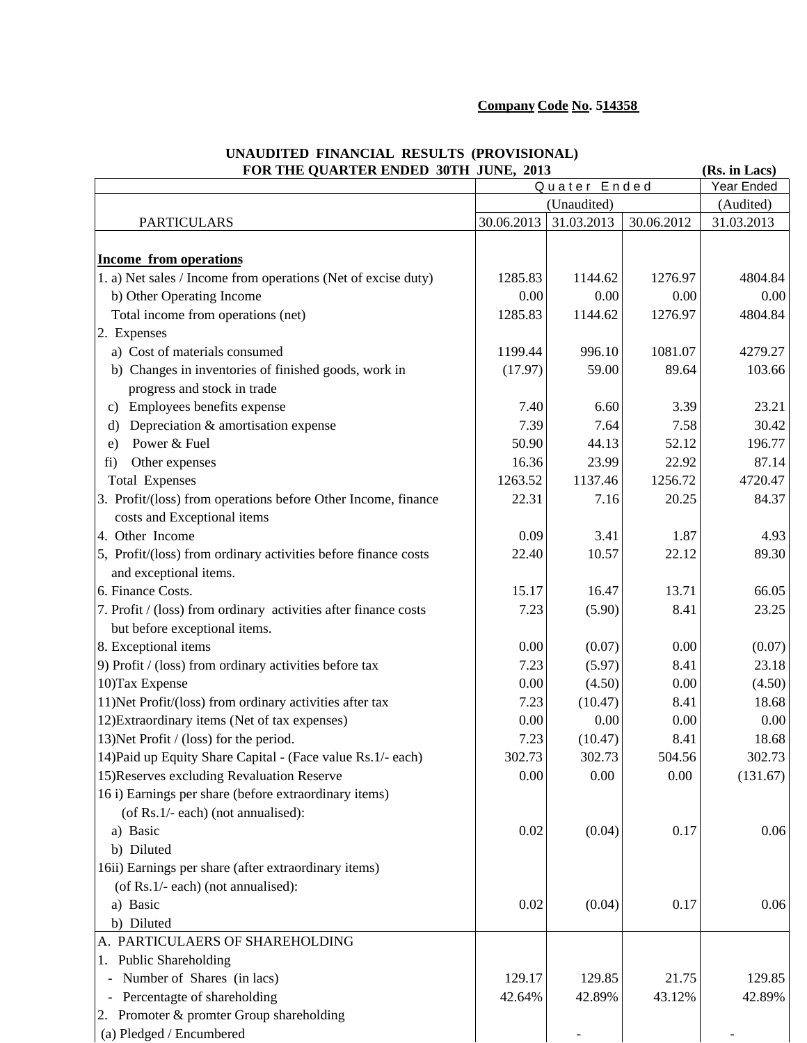## **Company Code No. 514358**

| FOR THE QUARTER ENDED 30TH JUNE, 2013<br>(Rs. in Lacs)                                         |              |             |            |            |  |
|------------------------------------------------------------------------------------------------|--------------|-------------|------------|------------|--|
|                                                                                                | Quater Ended |             |            | Year Ended |  |
|                                                                                                |              | (Unaudited) |            | (Audited)  |  |
| <b>PARTICULARS</b>                                                                             | 30.06.2013   | 31.03.2013  | 30.06.2012 | 31.03.2013 |  |
|                                                                                                |              |             |            |            |  |
| <b>Income from operations</b><br>1. a) Net sales / Income from operations (Net of excise duty) | 1285.83      | 1144.62     | 1276.97    | 4804.84    |  |
| b) Other Operating Income                                                                      | 0.00         | 0.00        | 0.00       | 0.00       |  |
| Total income from operations (net)                                                             | 1285.83      | 1144.62     | 1276.97    | 4804.84    |  |
|                                                                                                |              |             |            |            |  |
| 2. Expenses<br>a) Cost of materials consumed                                                   | 1199.44      | 996.10      | 1081.07    | 4279.27    |  |
|                                                                                                |              | 59.00       | 89.64      | 103.66     |  |
| b) Changes in inventories of finished goods, work in                                           | (17.97)      |             |            |            |  |
| progress and stock in trade                                                                    |              |             |            |            |  |
| Employees benefits expense<br>$\mathbf{c})$                                                    | 7.40         | 6.60        | 3.39       | 23.21      |  |
| Depreciation & amortisation expense<br>d)                                                      | 7.39         | 7.64        | 7.58       | 30.42      |  |
| Power & Fuel<br>e)                                                                             | 50.90        | 44.13       | 52.12      | 196.77     |  |
| Other expenses<br>fi)                                                                          | 16.36        | 23.99       | 22.92      | 87.14      |  |
| <b>Total Expenses</b>                                                                          | 1263.52      | 1137.46     | 1256.72    | 4720.47    |  |
| 3. Profit/(loss) from operations before Other Income, finance<br>costs and Exceptional items   | 22.31        | 7.16        | 20.25      | 84.37      |  |
| 4. Other Income                                                                                | 0.09         | 3.41        | 1.87       | 4.93       |  |
| 5, Profit/(loss) from ordinary activities before finance costs<br>and exceptional items.       | 22.40        | 10.57       | 22.12      | 89.30      |  |
| 6. Finance Costs.                                                                              | 15.17        | 16.47       | 13.71      | 66.05      |  |
| 7. Profit / (loss) from ordinary activities after finance costs                                | 7.23         | (5.90)      | 8.41       | 23.25      |  |
| but before exceptional items.                                                                  |              |             |            |            |  |
| 8. Exceptional items                                                                           | 0.00         | (0.07)      | 0.00       | (0.07)     |  |
| 9) Profit / (loss) from ordinary activities before tax                                         | 7.23         | (5.97)      | 8.41       | 23.18      |  |
| 10) Tax Expense                                                                                | 0.00         | (4.50)      | 0.00       | (4.50)     |  |
| 11) Net Profit/(loss) from ordinary activities after tax                                       | 7.23         | (10.47)     | 8.41       | 18.68      |  |
| 12) Extraordinary items (Net of tax expenses)                                                  | 0.00         | 0.00        | 0.00       | 0.00       |  |
| 13) Net Profit / (loss) for the period.                                                        | 7.23         | (10.47)     | 8.41       | 18.68      |  |
| 14) Paid up Equity Share Capital - (Face value Rs. 1/- each)                                   | 302.73       | 302.73      | 504.56     | 302.73     |  |
| 15) Reserves excluding Revaluation Reserve                                                     | 0.00         | 0.00        | 0.00       | (131.67)   |  |
| 16 i) Earnings per share (before extraordinary items)                                          |              |             |            |            |  |
| (of Rs.1/- each) (not annualised):                                                             |              |             |            |            |  |
| a) Basic                                                                                       | 0.02         | (0.04)      | 0.17       | 0.06       |  |
| b) Diluted                                                                                     |              |             |            |            |  |
| 16ii) Earnings per share (after extraordinary items)                                           |              |             |            |            |  |
| (of Rs.1/- each) (not annualised):                                                             |              |             |            |            |  |
| a) Basic                                                                                       | 0.02         | (0.04)      | 0.17       | 0.06       |  |
| b) Diluted                                                                                     |              |             |            |            |  |
| A. PARTICULAERS OF SHAREHOLDING                                                                |              |             |            |            |  |
| 1. Public Shareholding                                                                         |              |             |            |            |  |
| Number of Shares (in lacs)                                                                     | 129.17       | 129.85      | 21.75      | 129.85     |  |
| Percentagte of shareholding                                                                    | 42.64%       | 42.89%      | 43.12%     | 42.89%     |  |
| 2. Promoter & promter Group shareholding                                                       |              |             |            |            |  |
| (a) Pledged / Encumbered                                                                       |              |             |            |            |  |

## **UNAUDITED FINANCIAL RESULTS (PROVISIONAL)**